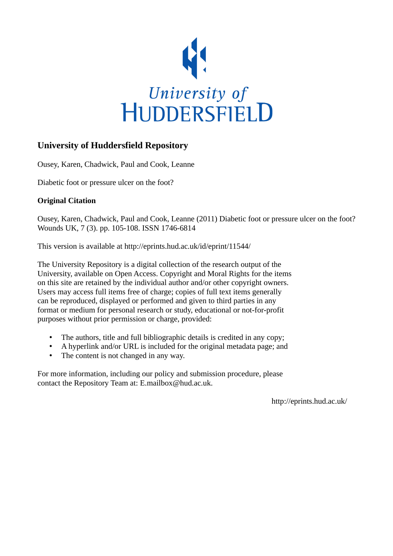

## **University of Huddersfield Repository**

Ousey, Karen, Chadwick, Paul and Cook, Leanne

Diabetic foot or pressure ulcer on the foot?

### **Original Citation**

Ousey, Karen, Chadwick, Paul and Cook, Leanne (2011) Diabetic foot or pressure ulcer on the foot? Wounds UK, 7 (3). pp. 105-108. ISSN 1746-6814

This version is available at http://eprints.hud.ac.uk/id/eprint/11544/

The University Repository is a digital collection of the research output of the University, available on Open Access. Copyright and Moral Rights for the items on this site are retained by the individual author and/or other copyright owners. Users may access full items free of charge; copies of full text items generally can be reproduced, displayed or performed and given to third parties in any format or medium for personal research or study, educational or not-for-profit purposes without prior permission or charge, provided:

- The authors, title and full bibliographic details is credited in any copy;
- A hyperlink and/or URL is included for the original metadata page; and
- The content is not changed in any way.

For more information, including our policy and submission procedure, please contact the Repository Team at: E.mailbox@hud.ac.uk.

http://eprints.hud.ac.uk/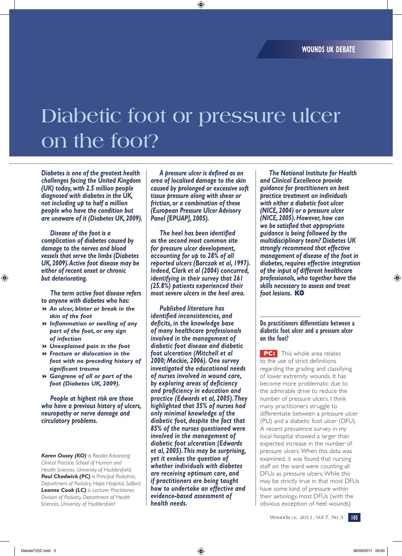# **Diabetic foot or pressure ulcer on the foot?**

*Diabetes is one of the greatest health challenges facing the United Kingdom (UK) today, with 2.5 million people diagnosed with diabetes in the UK, not including up to half a million people who have the condition but are unaware of it (Diabetes UK, 2009).* 

*Disease of the foot is a complication of diabetes caused by damage to the nerves and blood vessels that serve the limbs (Diabetes UK, 2009). Active foot disease may be either of recent onset or chronic but deteriorating.*

*The term active foot disease refers to anyone with diabetes who has:*

- 8 *An ulcer, blister or break in the skin of the foot*
- 8 *Inflammation or swelling of any part of the foot, or any sign of infection*
- 8 *Unexplained pain in the foot*
- 8 *Fracture or dislocation in the foot with no preceding history of significant trauma*
- 8 *Gangrene of all or part of the foot (Diabetes UK, 2009).*

*People at highest risk are those who have a previous history of ulcers, neuropathy or nerve damage and circulatory problems.* 

*Karen Ousey (KO) is Reader, Advancing Clinical Practice, School of Human and Health Sciences, University of Huddersfield; Paul Chadwick (PC) is Principal Podiatrist, Department of Podiatry, Hope Hospital, Salford; Leanne Cook (LC) is Lecturer Practitioner, Division of Podiatry, Department of Health Sciences, University of Huddersfield*

*A pressure ulcer is defined as an area of localised damage to the skin caused by prolonged or excessive soft tissue pressure along with shear or friction, or a combination of these (European Pressure Ulcer Advisory Panel [EPUAP], 2005).* 

*The heel has been identified as the second most common site for pressure ulcer development, accounting for up to 28% of all reported ulcers (Barczak et al, 1997). Indeed, Clark et al (2004) concurred, identifying in their survey that 261 (25.8%) patients experienced their most severe ulcers in the heel area.* 

*Published literature has identified inconsistencies, and deficits, in the knowledge base of many healthcare professionals involved in the management of diabetic foot disease and diabetic foot ulceration (Mitchell et al 2000; Mackie, 2006). One survey investigated the educational needs of nurses involved in wound care, by exploring areas of deficiency and proficiency in education and practice (Edwards et al, 2005). They highlighted that 35% of nurses had only minimal knowledge of the diabetic foot, despite the fact that 85% of the nurses questioned were involved in the management of diabetic foot ulceration (Edwards et al, 2005). This may be surprising, yet it evokes the question of whether individuals with diabetes are receiving optimum care, and if practitioners are being taught how to undertake an effective and evidence-based assessment of health needs.*

*The National Institute for Health and Clinical Excellence provide guidance for practitioners on best practice treatment on individuals with either a diabetic foot ulcer (NICE, 2004) or a pressure ulcer (NICE, 2005). However, how can we be satisfied that appropriate guidance is being followed by the multidisciplinary team? Diabetes UK strongly recommend that effective management of disease of the foot in diabetes, requires effective integration of the input of different healthcare professionals, who together have the skills necessary to assess and treat foot lesions.* **KO**

#### **Do practitioners differentiate between a diabetic foot ulcer and a pressure ulcer on the foot?**

**PC:** This whole area relates to the use of strict definitions regarding the grading and classifying of lower extremity wounds. It has become more problematic due to the admirable drive to reduce the number of pressure ulcers. I think many practitioners struggle to differentiate between a pressure ulcer (PU) and a diabetic foot ulcer (DFU). A recent prevalence survey in my local hospital showed a larger than expected increase in the number of pressure ulcers. When this data was examined, it was found that nursing staff on the ward were counting all DFUs as pressure ulcers. While this may be strictly true in that most DFUs have some kind of pressure within their aetiology, most DFUs (with the obvious exception of heel wounds)

Wounds uk, 2011, Vol 7, No 3 **105**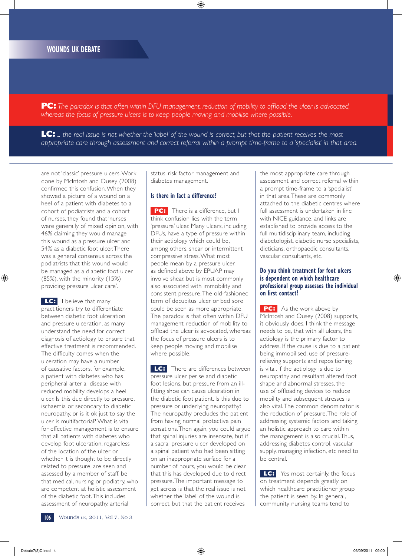**PC:** *The paradox is that often within DFU management, reduction of mobility to offload the ulcer is advocated, whereas the focus of pressure ulcers is to keep people moving and mobilise where possible.* 

**LC:** *... the real issue is not whether the 'label' of the wound is correct, but that the patient receives the most*  appropriate care through assessment and correct referral within a prompt time-frame to a 'specialist' in that area.

are not 'classic' pressure ulcers. Work done by McIntosh and Ousey (2008) confirmed this confusion. When they showed a picture of a wound on a heel of a patient with diabetes to a cohort of podiatrists and a cohort of nurses, they found that 'nurses were generally of mixed opinion, with 46% claiming they would manage this wound as a pressure ulcer and 54% as a diabetic foot ulcer. There was a general consensus across the podiatrists that this wound would be managed as a diabetic foot ulcer (85%), with the minority (15%) providing pressure ulcer care'.

**LC:** I believe that many practitioners try to differentiate between diabetic foot ulceration and pressure ulceration, as many understand the need for correct diagnosis of aetiology to ensure that effective treatment is recommended. The difficulty comes when the ulceration may have a number of causative factors, for example, a patient with diabetes who has peripheral arterial disease with reduced mobility develops a heel ulcer. Is this due directly to pressure, ischaemia or secondary to diabetic neuropathy, or is it ok just to say the ulcer is multifactorial? What is vital for effective management is to ensure that all patients with diabetes who develop foot ulceration, regardless of the location of the ulcer or whether it is thought to be directly related to pressure, are seen and assessed by a member of staff, be that medical, nursing or podiatry, who are competent at holistic assessment of the diabetic foot. This includes assessment of neuropathy, arterial

status, risk factor management and diabetes management.

#### **Is there in fact a difference?**

**PC:** There is a difference, but I think confusion lies with the term 'pressure' ulcer. Many ulcers, including DFUs, have a type of pressure within their aetiology which could be, among others, shear or intermittent compressive stress. What most people mean by a pressure ulcer, as defined above by EPUAP may involve shear, but is most commonly also associated with immobility and consistent pressure. The old-fashioned term of decubitus ulcer or bed sore could be seen as more appropriate. The paradox is that often within DFU management, reduction of mobility to offload the ulcer is advocated, whereas the focus of pressure ulcers is to keep people moving and mobilise where possible.

**LC:** There are differences between pressure ulcer *per se* and diabetic foot lesions, but pressure from an illfitting shoe can cause ulceration in the diabetic foot patient. Is this due to pressure or underlying neuropathy? The neuropathy precludes the patient from having normal protective pain sensations. Then again, you could argue that spinal injuries are insensate, but if a sacral pressure ulcer developed on a spinal patient who had been sitting on an inappropriate surface for a number of hours, you would be clear that this has developed due to direct pressure. The important message to get across is that the real issue is not whether the 'label' of the wound is correct, but that the patient receives

the most appropriate care through assessment and correct referral within a prompt time-frame to a 'specialist' in that area. These are commonly attached to the diabetic centres where full assessment is undertaken in line with NICE guidance, and links are established to provide access to the full multidisciplinary team, including diabetologist, diabetic nurse specialists, dieticians, orthopaedic consultants, vascular consultants, etc.

#### **Do you think treatment for foot ulcers is dependent on which healthcare professional group assesses the individual on first contact?**

**PC:** As the work above by McIntosh and Ousey (2008) supports, it obviously does. I think the message needs to be, that with all ulcers, the aetiology is the primary factor to address. If the cause is due to a patient being immobilised, use of pressurerelieving supports and repositioning is vital. If the aetiology is due to neuropathy and resultant altered foot shape and abnormal stresses, the use of offloading devices to reduce mobility and subsequent stresses is also vital. The common denominator is the reduction of pressure. The role of addressing systemic factors and taking an holistic approach to care within the management is also crucial. Thus, addressing diabetes control, vascular supply, managing infection, etc need to be central.

**LC:** Yes most certainly, the focus on treatment depends greatly on which healthcare practitioner group the patient is seen by. In general, community nursing teams tend to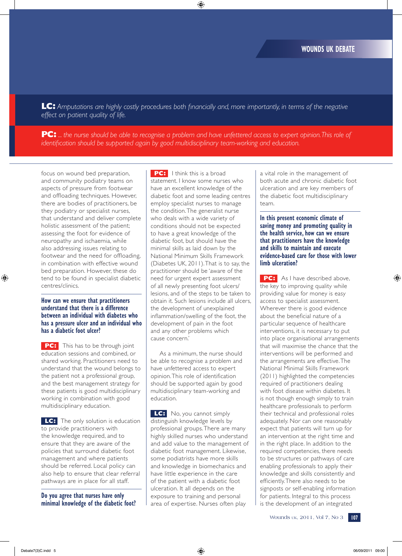**LC:** *Amputations are highly costly procedures both financially and, more importantly, in terms of the negative effect on patient quality of life.*

**PC:** *... the nurse should be able to recognise a problem and have unfettered access to expert opinion. This role of identification should be supported again by good multidisciplinary team-working and education.* 

focus on wound bed preparation, and community podiatry teams on aspects of pressure from footwear and offloading techniques. However, there are bodies of practitioners, be they podiatry or specialist nurses, that understand and deliver complete holistic assessment of the patient; assessing the foot for evidence of neuropathy and ischaemia, while also addressing issues relating to footwear and the need for offloading, in combination with effective wound bed preparation. However, these do tend to be found in specialist diabetic centres/clinics.

#### **How can we ensure that practitioners understand that there is a difference between an individual with diabetes who has a pressure ulcer and an individual who has a diabetic foot ulcer?**

**PC:** This has to be through joint education sessions and combined, or shared working. Practitioners need to understand that the wound belongs to the patient not a professional group, and the best management strategy for these patients is good multidisciplinary working in combination with good multidisciplinary education.

**LC:** The only solution is education to provide practitioners with the knowledge required, and to ensure that they are aware of the policies that surround diabetic foot management and where patients should be referred. Local policy can also help to ensure that clear referral pathways are in place for all staff.

**Do you agree that nurses have only minimal knowledge of the diabetic foot?** 

**PC:** I think this is a broad statement. I know some nurses who have an excellent knowledge of the diabetic foot and some leading centres employ specialist nurses to manage the condition. The generalist nurse who deals with a wide variety of conditions should not be expected to have a great knowledge of the diabetic foot, but should have the minimal skills as laid down by the National Minimum Skills Framework (Diabetes UK, 2011). That is to say, the practitioner should be 'aware of the need for urgent expert assessment of all newly presenting foot ulcers/ lesions, and of the steps to be taken to obtain it. Such lesions include all ulcers, the development of unexplained inflammation/swelling of the foot, the development of pain in the foot and any other problems which cause concern.'

As a minimum, the nurse should be able to recognise a problem and have unfettered access to expert opinion. This role of identification should be supported again by good multidisciplinary team-working and education.

**LC:** No, you cannot simply distinguish knowledge levels by professional groups. There are many highly skilled nurses who understand and add value to the management of diabetic foot management. Likewise, some podiatrists have more skills and knowledge in biomechanics and have little experience in the care of the patient with a diabetic foot ulceration. It all depends on the exposure to training and personal area of expertise. Nurses often play

a vital role in the management of both acute and chronic diabetic foot ulceration and are key members of the diabetic foot multidisciplinary team.

**In this present economic climate of saving money and promoting quality in the health service, how can we ensure that practitioners have the knowledge and skills to maintain and execute evidence-based care for those with lower limb ulceration?** 

**PC:** As I have described above, the key to improving quality while providing value for money is easy access to specialist assessment. Wherever there is good evidence about the beneficial nature of a particular sequence of healthcare interventions, it is necessary to put into place organisational arrangements that will maximise the chance that the interventions will be performed and the arrangements are effective. The National Minimal Skills Framework (2011) highlighted the competencies required of practitioners dealing with foot disease within diabetes. It is not though enough simply to train healthcare professionals to perform their technical and professional roles adequately. Nor can one reasonably expect that patients will turn up for an intervention at the right time and in the right place. In addition to the required competencies, there needs to be structures or pathways of care enabling professionals to apply their knowledge and skills consistently and efficiently. There also needs to be signposts or self-enabling information for patients. Integral to this process is the development of an integrated